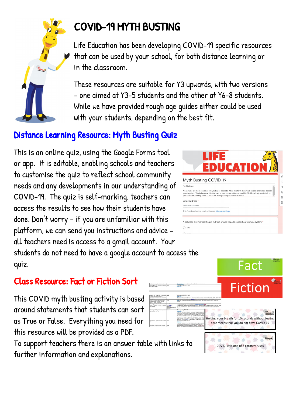

# COVID-19 MYTH BUSTING

Life Education has been developing COVID-19 specific resources that can be used by your school, for both distance learning or in the classroom.

These resources are suitable for Y3 upwards, with two versions – one aimed at Y3-5 students and the other at Y6-8 students. While we have provided rough age guides either could be used with your students, depending on the best fit.

## Distance Learning Resource: Myth Busting Quiz

This is an online quiz, using the Google Forms tool or app. It is editable, enabling schools and teachers to customise the quiz to reflect school community needs and any developments in our understanding of COVID-19. The quiz is self-marking, teachers can access the results to see how their students have done. Don't worry - if you are unfamiliar with this  $\bigcap$  True platform, we can send you instructions and advice all teachers need is access to a gmail account. Your students do not need to have a google account to access the quiz.

### Class Resource: Fact or Fiction Sort

This COVID myth busting activity is based around statements that students can sort as True or False. Everything you need for this resource will be provided as a PDF.

To support teachers there is an answer table with links to further information and explanations.